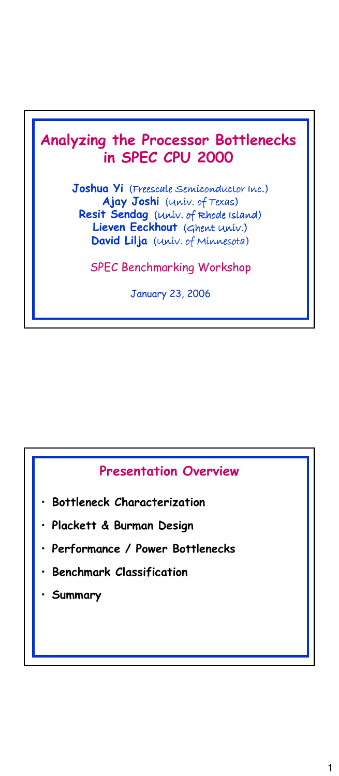## Analyzing the Processor Bottlenecks in SPEC CPU 2000

Joshua Yi (Freescale Semiconductor Inc.) Ajay Joshi (Univ. of Texas) Resit Sendag (Univ. of Rhode Island) Lieven Eeckhout (Ghent Univ.) David Lilja (Univ. of Minnesota)

SPEC Benchmarking Workshop

January 23, 2006

## Presentation Overview

- Bottleneck Characterization
- Plackett & Burman Design
- Performance / Power Bottlenecks
- Benchmark Classification
- Summary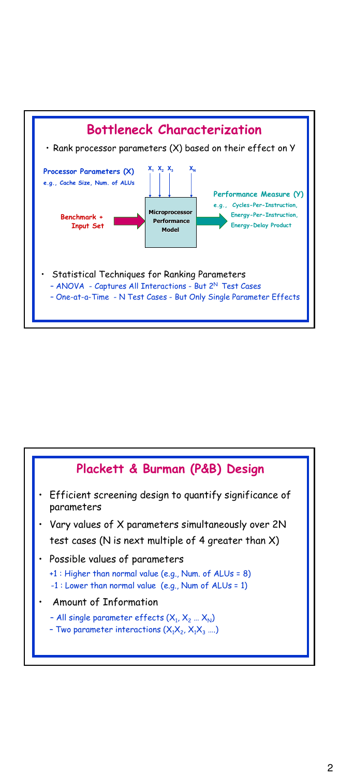

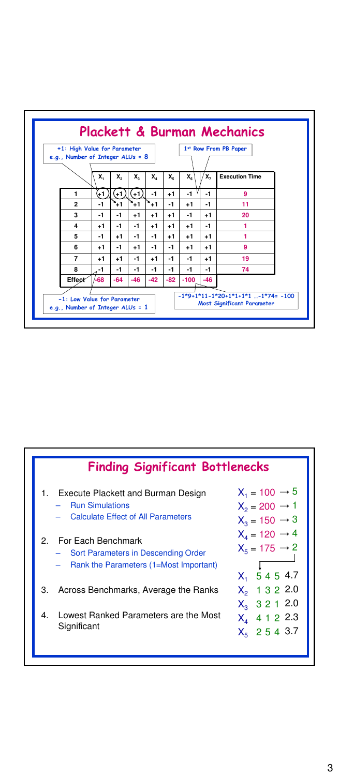

| <b>Finding Significant Bottlenecks</b>                                                                          |                                                                                     |
|-----------------------------------------------------------------------------------------------------------------|-------------------------------------------------------------------------------------|
| Execute Plackett and Burman Design<br>1.<br><b>Run Simulations</b><br><b>Calculate Effect of All Parameters</b> | $X_1 = 100 \rightarrow 5$<br>$X_2 = 200 \rightarrow 1$<br>$X_3 = 150 \rightarrow 3$ |
| For Each Benchmark<br>2.<br>Sort Parameters in Descending Order<br>Rank the Parameters (1=Most Important)       | $X_4 = 120 \rightarrow 4$<br>$X_5 = 175 \rightarrow 2$<br>$X_1$ 5 4 5 4.7           |
| Across Benchmarks, Average the Ranks<br>3.                                                                      | $X_2$ 1 3 2 2.0                                                                     |
| Lowest Ranked Parameters are the Most<br>4.<br>Significant                                                      | $X_3$ 3 2 1 2.0<br>$X_4$ 4 1 2 2.3<br>$X_5$ 2 5 4 3.7                               |

1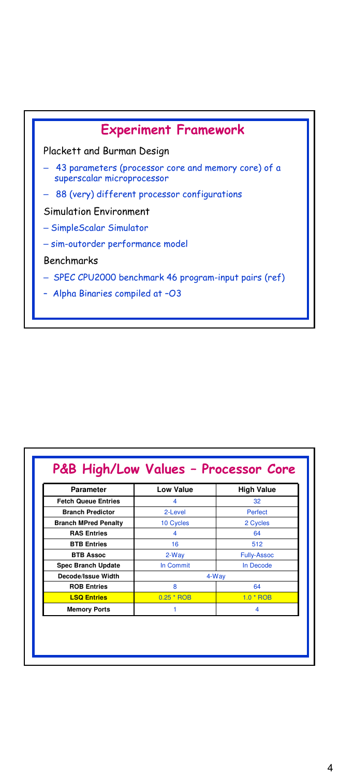

|  |  |  | P&B High/Low Values - Processor Core |  |
|--|--|--|--------------------------------------|--|
|--|--|--|--------------------------------------|--|

| Parameter                   | <b>Low Value</b> | <b>High Value</b>  |
|-----------------------------|------------------|--------------------|
| <b>Fetch Queue Entries</b>  |                  | 32                 |
| <b>Branch Predictor</b>     | 2-Level          | Perfect            |
| <b>Branch MPred Penalty</b> | 10 Cycles        | 2 Cycles           |
| <b>RAS Entries</b>          |                  | 64                 |
| <b>BTB Entries</b>          | 16               | 512                |
| <b>BTB Assoc</b>            | 2-Way            | <b>Fully-Assoc</b> |
| <b>Spec Branch Update</b>   | <b>In Commit</b> | In Decode          |
| Decode/Issue Width          |                  | 4-Way              |
| <b>ROB Entries</b>          | 8                | 64                 |
| <b>LSQ Entries</b>          | $0.25 * ROB$     | $1.0 * ROB$        |
| <b>Memory Ports</b>         |                  |                    |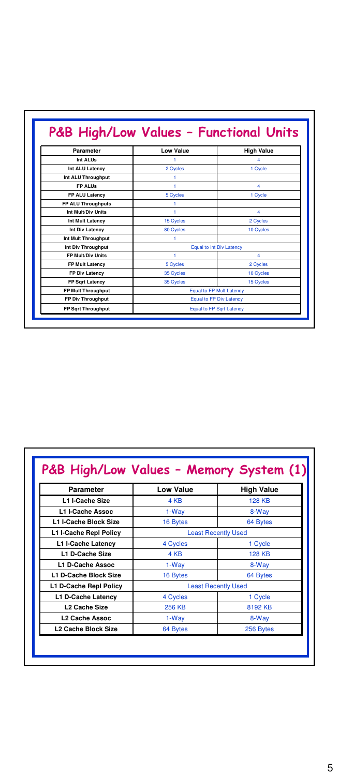| <b>Parameter</b>          | <b>Low Value</b> | <b>High Value</b>               |
|---------------------------|------------------|---------------------------------|
| Int ALUs                  | 1                | 4                               |
| Int ALU Latency           | 2 Cycles         | 1 Cycle                         |
| Int ALU Throughput        | 1                |                                 |
| <b>FPALLIS</b>            | 1                | 4                               |
| FP ALU Latency            | 5 Cycles         | 1 Cycle                         |
| <b>FP ALU Throughputs</b> | ۶                |                                 |
| Int Mult/Div Units        | 4                | 4                               |
| Int Mult Latency          | 15 Cycles        | 2 Cycles                        |
| Int Div Latency           | 80 Cycles        | 10 Cycles                       |
| Int Mult Throughput       | ł.               |                                 |
| Int Div Throughput        |                  | <b>Equal to Int Div Latency</b> |
| FP Mult/Div Units         | 1                | 4                               |
| <b>FP Mult Latency</b>    | 5 Cycles         | 2 Cycles                        |
| FP Div Latency            | 35 Cycles        | 10 Cycles                       |
| <b>FP Sqrt Latency</b>    | 35 Cycles        | 15 Cycles                       |
| <b>FP Mult Throughput</b> |                  | <b>Equal to FP Mult Latency</b> |
| FP Div Throughput         |                  | <b>Equal to FP Div Latency</b>  |
| <b>FP Sart Throughput</b> |                  | <b>Equal to FP Sort Latency</b> |

| Parameter                    | <b>Low Value</b> | <b>High Value</b>          |
|------------------------------|------------------|----------------------------|
| L1 I-Cache Size              | 4 KB             | <b>128 KB</b>              |
| I 1 I-Cache Assoc            | 1-Way            | 8-Way                      |
| <b>L1 I-Cache Block Size</b> | 16 Bytes         | 64 Bytes                   |
| L1 I-Cache Repl Policy       |                  | <b>Least Recently Used</b> |
| L1 I-Cache Latency           | 4 Cycles         | 1 Cycle                    |
| L1 D-Cache Size              | 4 KB             | <b>128 KB</b>              |
| L1 D-Cache Assoc             | 1-Way            | 8-Way                      |
| L1 D-Cache Block Size        | 16 Bytes         | 64 Bytes                   |
| L1 D-Cache Repl Policy       |                  | <b>Least Recently Used</b> |
| L1 D-Cache Latency           | 4 Cycles         | 1 Cycle                    |
| L <sub>2</sub> Cache Size    | 256 KB           | 8192 KB                    |
| <b>L2 Cache Assoc</b>        | 1-Way            | 8-Way                      |
| L2 Cache Block Size          | 64 Bytes         | 256 Bytes                  |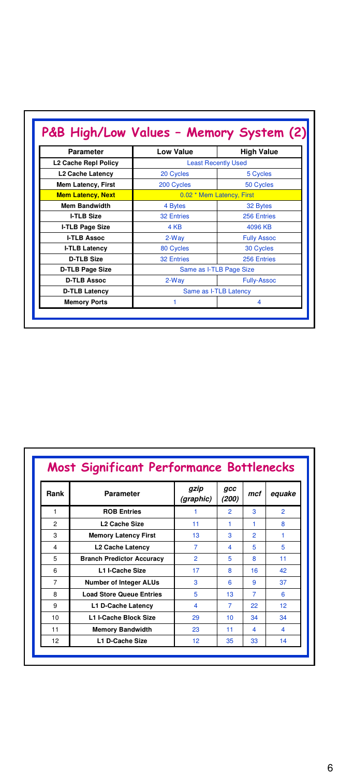| Parameter                | Low Value         | <b>High Value</b>          |
|--------------------------|-------------------|----------------------------|
| L2 Cache Repl Policy     |                   | <b>Least Recently Used</b> |
| L2 Cache Latency         | 20 Cycles         | 5 Cycles                   |
| Mem Latency, First       | 200 Cycles        | 50 Cycles                  |
| <b>Mem Latency, Next</b> |                   | 0.02 * Mem Latency, First  |
| <b>Mem Bandwidth</b>     | 4 Bytes           | 32 Bytes                   |
| <b>I-TLB Size</b>        | <b>32 Entries</b> | 256 Entries                |
| <b>I-TLB Page Size</b>   | 4 KB              | 4096 KB                    |
| <b>I-TLB Assoc</b>       | 2-Way             | <b>Fully Assoc</b>         |
| I-TLB Latency            | 80 Cycles         | <b>30 Cycles</b>           |
| <b>D-TLB Size</b>        | <b>32 Entries</b> | 256 Entries                |
| D-TLB Page Size          |                   | Same as I-TLB Page Size    |
| <b>D-TLB Assoc</b>       | 2-Way             | <b>Fully-Assoc</b>         |
| D-TLB Latency            |                   | Same as I-TLB Latency      |
| <b>Memory Ports</b>      |                   | 4                          |

| Rank                    | Parameter                        | gzip<br>(graphic) | gcc<br>(200)   | mcf            | equake          |
|-------------------------|----------------------------------|-------------------|----------------|----------------|-----------------|
| 1                       | <b>ROB Entries</b>               |                   | $\overline{2}$ | 3              | $\overline{2}$  |
| $\overline{2}$          | L <sub>2</sub> Cache Size        | 11                | 1              | 1              | 8               |
| 3                       | <b>Memory Latency First</b>      | 13                | 3              | $\overline{2}$ | 1               |
| $\overline{\mathbf{A}}$ | L2 Cache Latency                 | 7                 | 4              | 5              | к               |
| 5                       | <b>Branch Predictor Accuracy</b> | $\overline{2}$    | 5              | R              | 11              |
| 6                       | L1 I-Cache Size                  | 17                | 8              | 16             | 42              |
| $\overline{7}$          | <b>Number of Integer ALUs</b>    | 3                 | 6              | 9              | 37              |
| 8                       | <b>Load Store Queue Entries</b>  | 5                 | 13             | 7              | ĥ.              |
| q                       | L1 D-Cache Latency               | 4                 | 7              | 22             | 12 <sup>2</sup> |
| 10                      | <b>L1 I-Cache Block Size</b>     | 29                | 10             | 34             | 34              |
| 11                      | <b>Memory Bandwidth</b>          | 23                | 11             | 4              | 4               |
| 12                      | L1 D-Cache Size                  | 12                | 35             | 33             | 14              |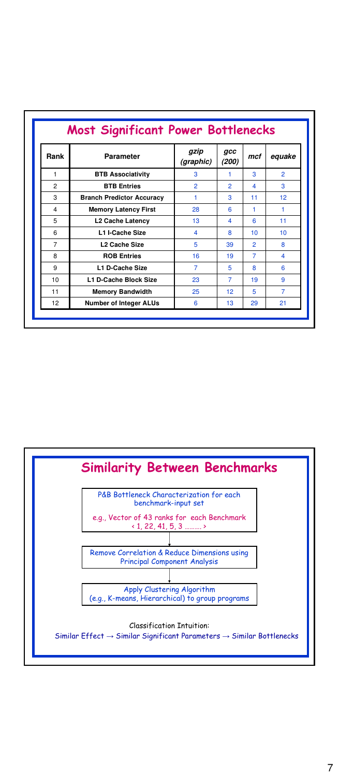| Rank           | Parameter                        | gzip<br>(graphic) | gcc<br>(200)   | mcf            | equake                  |
|----------------|----------------------------------|-------------------|----------------|----------------|-------------------------|
| 1              | <b>BTB Associativity</b>         | з                 |                | з              | $\overline{2}$          |
| $\overline{2}$ | <b>BTB Entries</b>               | $\overline{2}$    | $\overline{2}$ | 4              | 3                       |
| 3              | <b>Branch Predictor Accuracy</b> | 1                 | 3              | 11             | 12 <sup>2</sup>         |
| $\overline{4}$ | <b>Memory Latency First</b>      | 28                | 6              | 1              | 1                       |
| 5              | L2 Cache Latency                 | 13                | 4              | 6              | 11                      |
| 6              | <b>11 I-Cache Size</b>           | 4                 | R.             | 10             | 10                      |
| $\overline{7}$ | L <sub>2</sub> Cache Size        | 5                 | 39             | $\overline{2}$ | 8                       |
| 8              | <b>ROB Entries</b>               | 16                | 19             | $\overline{7}$ | $\overline{\mathbf{A}}$ |
| 9              | L1 D-Cache Size                  | $\overline{7}$    | 5              | 8              | 6                       |
| 10             | L1 D-Cache Block Size            | 23                | 7              | 19             | 9                       |
| 11             | <b>Memory Bandwidth</b>          | 25                | 12             | 5              | $\overline{7}$          |
| 12             | <b>Number of Integer ALUs</b>    | 6                 | 13             | 29             | 21                      |

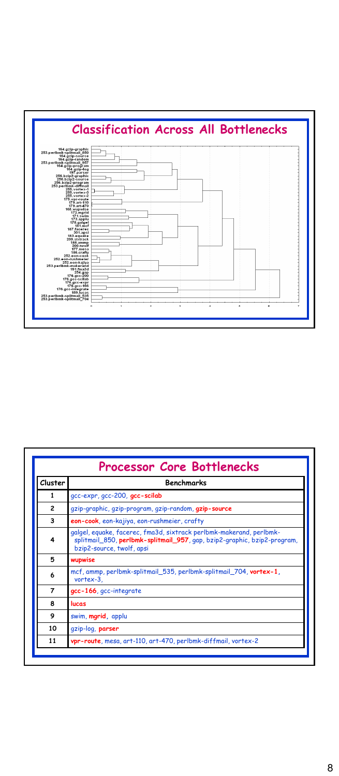

| Cluster        | Benchmarks                                                                                                                                                                   |
|----------------|------------------------------------------------------------------------------------------------------------------------------------------------------------------------------|
| 1              | gcc-expr, gcc-200, gcc-scilab                                                                                                                                                |
| $\overline{c}$ | gzip-graphic, gzip-program, gzip-random, gzip-source                                                                                                                         |
| 3              | eon-cook, eon-kajiya, eon-rushmeier, crafty                                                                                                                                  |
| 4              | galgel, equake, facerec, fma3d, sixtrack perlbmk-makerand, perlbmk-<br>splitmail_850, perlbmk-splitmail_957, gap, bzip2-graphic, bzip2-program,<br>bzip2-source, twolf, apsi |
| 5              | wupwise                                                                                                                                                                      |
| 6              | mcf, ammp, perlbmk-splitmail_535, perlbmk-splitmail_704, vortex-1,<br>vortex-3.                                                                                              |
| $\overline{7}$ | gcc-166, gcc-integrate                                                                                                                                                       |
| 8              | lucas                                                                                                                                                                        |
| 9              | swim, mgrid, applu                                                                                                                                                           |
| 10             | qzip-loq, parser                                                                                                                                                             |
| 11             | vpr-route, mesa, art-110, art-470, perlbmk-diffmail, vortex-2                                                                                                                |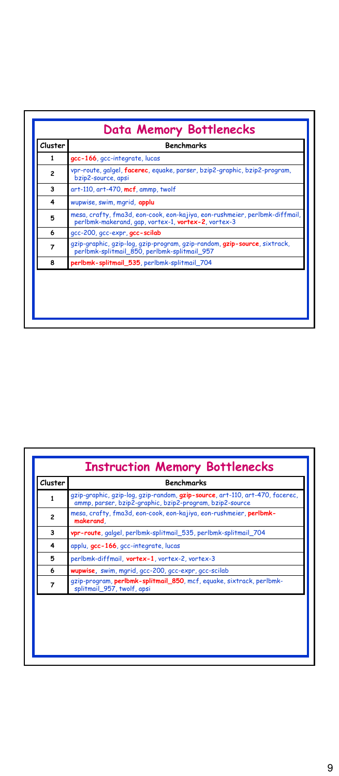| Cluster        | <b>Benchmarks</b>                                                                                                                  |
|----------------|------------------------------------------------------------------------------------------------------------------------------------|
| 1              | gcc-166, gcc-integrate, lucas                                                                                                      |
| $\overline{c}$ | vpr-route, galgel, facerec, equake, parser, bzip2-graphic, bzip2-program,<br>bzip2-source, apsi                                    |
| 3              | art-110, art-470, mcf, ammp, twolf                                                                                                 |
| 4              | wupwise, swim, mgrid, applu                                                                                                        |
| 5              | mesa, crafty, fma3d, eon-cook, eon-kajiya, eon-rushmeier, perlbmk-diffmail,<br>perlbmk-makerand, gap, vortex-1, vortex-2, vortex-3 |
| 6              | gcc-200, gcc-expr, gcc-scilab                                                                                                      |
| 7              | gzip-graphic, gzip-log, gzip-program, gzip-random, gzip-source, sixtrack,<br>perlbmk-splitmail 850, perlbmk-splitmail 957          |
| 8              | perlbmk-splitmail_535, perlbmk-splitmail_704                                                                                       |

| Cluster        | Benchmarks                                                                                                                               |
|----------------|------------------------------------------------------------------------------------------------------------------------------------------|
|                | gzip-graphic, gzip-log, gzip-random, gzip-source, art-110, art-470, facerec,<br>ammp, parser, bzip2-graphic, bzip2-program, bzip2-source |
| $\overline{c}$ | mesa, crafty, fma3d, eon-cook, eon-kajiya, eon-rushmeier, perlbmk-<br>makerand.                                                          |
| 3              | vpr-route, galgel, perlbmk-splitmail_535, perlbmk-splitmail_704                                                                          |
| 4              | applu, gcc-166, gcc-integrate, lucas                                                                                                     |
| 5              | perlbmk-diffmail, vortex-1, vortex-2, vortex-3                                                                                           |
| 6              | wupwise, swim, mgrid, gcc-200, gcc-expr, gcc-scilab                                                                                      |
|                | qzip-program, perlbmk-splitmail_850, mcf, equake, sixtrack, perlbmk-<br>splitmail_957, twolf, apsi                                       |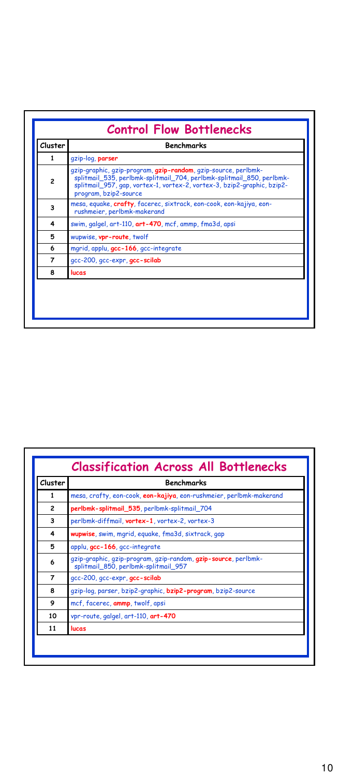| $\mathbf{1}$<br>qzip-log, parser<br>qzip-qraphic, qzip-proqram, gzip-random, qzip-source, perlbmk-<br>splitmail_535, perlbmk-splitmail_704, perlbmk-splitmail_850, perlbmk-<br>$\overline{c}$<br>splitmail 957, gap, vortex-1, vortex-2, vortex-3, bzip2-graphic, bzip2-<br>program, bzip2-source<br>mesa, equake, crafty, facerec, sixtrack, eon-cook, eon-kajiya, eon-<br>3<br>rushmeier, perlbmk-makerand<br>4<br>swim, galgel, art-110, art-470, mcf, ammp, fma3d, apsi |  |
|-----------------------------------------------------------------------------------------------------------------------------------------------------------------------------------------------------------------------------------------------------------------------------------------------------------------------------------------------------------------------------------------------------------------------------------------------------------------------------|--|
|                                                                                                                                                                                                                                                                                                                                                                                                                                                                             |  |
|                                                                                                                                                                                                                                                                                                                                                                                                                                                                             |  |
|                                                                                                                                                                                                                                                                                                                                                                                                                                                                             |  |
|                                                                                                                                                                                                                                                                                                                                                                                                                                                                             |  |
| 5<br>wupwise, vpr-route, twolf                                                                                                                                                                                                                                                                                                                                                                                                                                              |  |
| 6<br>mgrid, applu, gcc-166, gcc-integrate                                                                                                                                                                                                                                                                                                                                                                                                                                   |  |
| $\overline{7}$<br>gcc-200, gcc-expr, gcc-scilab                                                                                                                                                                                                                                                                                                                                                                                                                             |  |
| 8<br>lucas                                                                                                                                                                                                                                                                                                                                                                                                                                                                  |  |

| Cluster        | Benchmarks                                                                                             |
|----------------|--------------------------------------------------------------------------------------------------------|
| 1              | mesa, crafty, eon-cook, eon-kajiya, eon-rushmeier, perlbmk-makerand                                    |
| $\overline{c}$ | perlbmk-splitmail_535, perlbmk-splitmail_704                                                           |
| 3              | perlbmk-diffmail, vortex-1, vortex-2, vortex-3                                                         |
| 4              | wupwise, swim, mgrid, equake, fma3d, sixtrack, gap                                                     |
| 5              | applu, gcc-166, gcc-integrate                                                                          |
| 6              | qzip-qraphic, qzip-program, qzip-random, gzip-source, perlbmk-<br>splitmail_850, perlbmk-splitmail_957 |
| $\overline{7}$ | gcc-200, gcc-expr, gcc-scilab                                                                          |
| 8              | gzip-log, parser, bzip2-graphic, bzip2-program, bzip2-source                                           |
| 9              | mcf, facerec, ammp, twolf, apsi                                                                        |
| 10             | vpr-route, galgel, art-110, art-470                                                                    |
| 11             | lucas                                                                                                  |